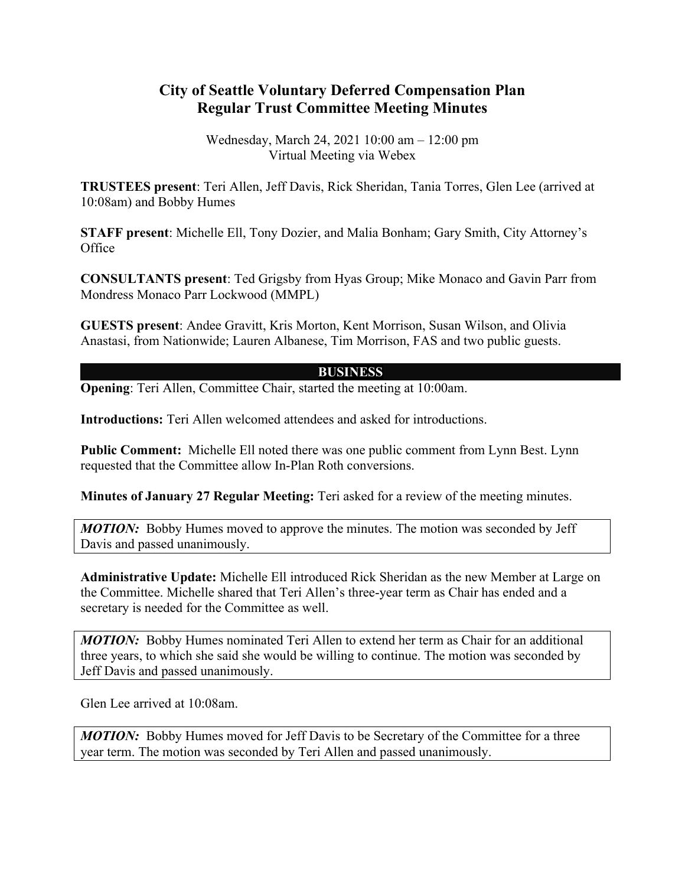## **City of Seattle Voluntary Deferred Compensation Plan Regular Trust Committee Meeting Minutes**

Wednesday, March 24, 2021 10:00 am – 12:00 pm Virtual Meeting via Webex

**TRUSTEES present**: Teri Allen, Jeff Davis, Rick Sheridan, Tania Torres, Glen Lee (arrived at 10:08am) and Bobby Humes

**STAFF present**: Michelle Ell, Tony Dozier, and Malia Bonham; Gary Smith, City Attorney's Office

**CONSULTANTS present**: Ted Grigsby from Hyas Group; Mike Monaco and Gavin Parr from Mondress Monaco Parr Lockwood (MMPL)

**GUESTS present**: Andee Gravitt, Kris Morton, Kent Morrison, Susan Wilson, and Olivia Anastasi, from Nationwide; Lauren Albanese, Tim Morrison, FAS and two public guests.

## **BUSINESS**

**Opening:** Teri Allen, Committee Chair, started the meeting at 10:00am.

**Introductions:** Teri Allen welcomed attendees and asked for introductions.

**Public Comment:** Michelle Ell noted there was one public comment from Lynn Best. Lynn requested that the Committee allow In-Plan Roth conversions.

**Minutes of January 27 Regular Meeting:** Teri asked for a review of the meeting minutes.

*MOTION:* Bobby Humes moved to approve the minutes. The motion was seconded by Jeff Davis and passed unanimously.

**Administrative Update:** Michelle Ell introduced Rick Sheridan as the new Member at Large on the Committee. Michelle shared that Teri Allen's three-year term as Chair has ended and a secretary is needed for the Committee as well.

**MOTION:** Bobby Humes nominated Teri Allen to extend her term as Chair for an additional three years, to which she said she would be willing to continue. The motion was seconded by Jeff Davis and passed unanimously.

Glen Lee arrived at 10:08am.

*MOTION:* Bobby Humes moved for Jeff Davis to be Secretary of the Committee for a three year term. The motion was seconded by Teri Allen and passed unanimously.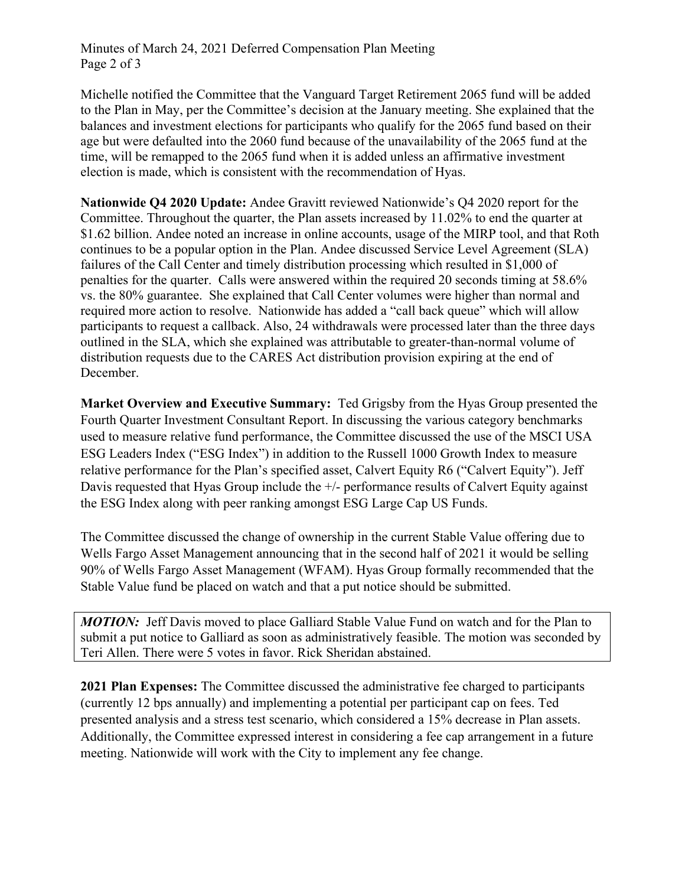Minutes of March 24, 2021 Deferred Compensation Plan Meeting Page 2 of 3

Michelle notified the Committee that the Vanguard Target Retirement 2065 fund will be added to the Plan in May, per the Committee's decision at the January meeting. She explained that the balances and investment elections for participants who qualify for the 2065 fund based on their age but were defaulted into the 2060 fund because of the unavailability of the 2065 fund at the time, will be remapped to the 2065 fund when it is added unless an affirmative investment election is made, which is consistent with the recommendation of Hyas.

**Nationwide Q4 2020 Update:** Andee Gravitt reviewed Nationwide's Q4 2020 report for the Committee. Throughout the quarter, the Plan assets increased by 11.02% to end the quarter at \$1.62 billion. Andee noted an increase in online accounts, usage of the MIRP tool, and that Roth continues to be a popular option in the Plan. Andee discussed Service Level Agreement (SLA) failures of the Call Center and timely distribution processing which resulted in \$1,000 of penalties for the quarter. Calls were answered within the required 20 seconds timing at 58.6% vs. the 80% guarantee. She explained that Call Center volumes were higher than normal and required more action to resolve. Nationwide has added a "call back queue" which will allow participants to request a callback. Also, 24 withdrawals were processed later than the three days outlined in the SLA, which she explained was attributable to greater-than-normal volume of distribution requests due to the CARES Act distribution provision expiring at the end of December.

**Market Overview and Executive Summary:** Ted Grigsby from the Hyas Group presented the Fourth Quarter Investment Consultant Report. In discussing the various category benchmarks used to measure relative fund performance, the Committee discussed the use of the MSCI USA ESG Leaders Index ("ESG Index") in addition to the Russell 1000 Growth Index to measure relative performance for the Plan's specified asset, Calvert Equity R6 ("Calvert Equity"). Jeff Davis requested that Hyas Group include the  $+/-$  performance results of Calvert Equity against the ESG Index along with peer ranking amongst ESG Large Cap US Funds.

The Committee discussed the change of ownership in the current Stable Value offering due to Wells Fargo Asset Management announcing that in the second half of 2021 it would be selling 90% of Wells Fargo Asset Management (WFAM). Hyas Group formally recommended that the Stable Value fund be placed on watch and that a put notice should be submitted.

**MOTION:** Jeff Davis moved to place Galliard Stable Value Fund on watch and for the Plan to submit a put notice to Galliard as soon as administratively feasible. The motion was seconded by Teri Allen. There were 5 votes in favor. Rick Sheridan abstained.

**2021 Plan Expenses:** The Committee discussed the administrative fee charged to participants (currently 12 bps annually) and implementing a potential per participant cap on fees. Ted presented analysis and a stress test scenario, which considered a 15% decrease in Plan assets. Additionally, the Committee expressed interest in considering a fee cap arrangement in a future meeting. Nationwide will work with the City to implement any fee change.